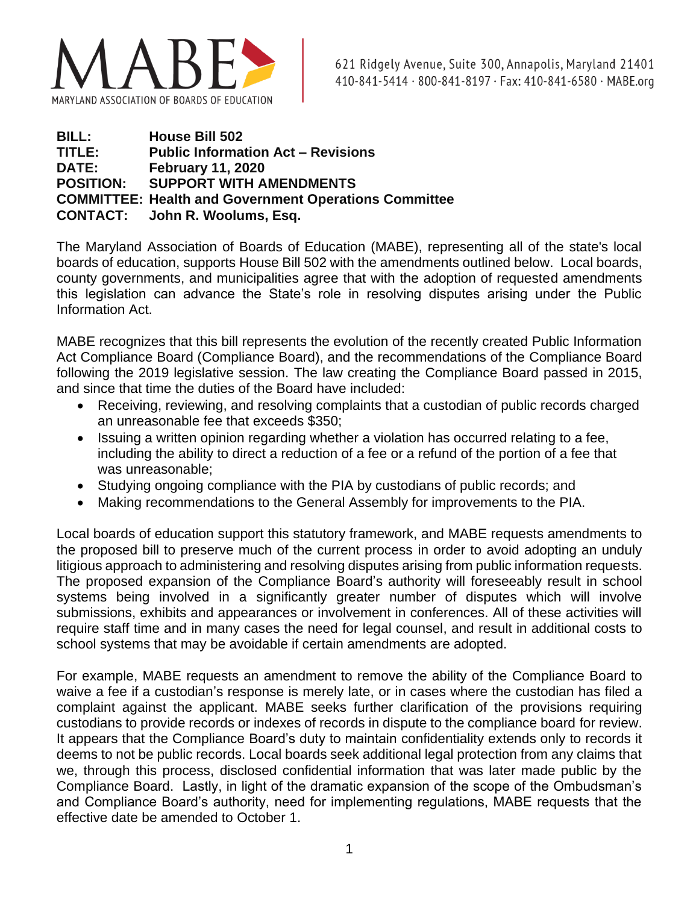

| <b>BILL:</b>     | <b>House Bill 502</b>                                        |
|------------------|--------------------------------------------------------------|
| TITLE:           | <b>Public Information Act - Revisions</b>                    |
| <b>DATE:</b>     | <b>February 11, 2020</b>                                     |
| <b>POSITION:</b> | <b>SUPPORT WITH AMENDMENTS</b>                               |
|                  | <b>COMMITTEE: Health and Government Operations Committee</b> |
|                  | <b>CONTACT:</b> John R. Woolums, Esq.                        |

The Maryland Association of Boards of Education (MABE), representing all of the state's local boards of education, supports House Bill 502 with the amendments outlined below. Local boards, county governments, and municipalities agree that with the adoption of requested amendments this legislation can advance the State's role in resolving disputes arising under the Public Information Act.

MABE recognizes that this bill represents the evolution of the recently created Public Information Act Compliance Board (Compliance Board), and the recommendations of the Compliance Board following the 2019 legislative session. The law creating the Compliance Board passed in 2015, and since that time the duties of the Board have included:

- Receiving, reviewing, and resolving complaints that a custodian of public records charged an unreasonable fee that exceeds \$350;
- Issuing a written opinion regarding whether a violation has occurred relating to a fee, including the ability to direct a reduction of a fee or a refund of the portion of a fee that was unreasonable;
- Studying ongoing compliance with the PIA by custodians of public records; and
- Making recommendations to the General Assembly for improvements to the PIA.

Local boards of education support this statutory framework, and MABE requests amendments to the proposed bill to preserve much of the current process in order to avoid adopting an unduly litigious approach to administering and resolving disputes arising from public information requests. The proposed expansion of the Compliance Board's authority will foreseeably result in school systems being involved in a significantly greater number of disputes which will involve submissions, exhibits and appearances or involvement in conferences. All of these activities will require staff time and in many cases the need for legal counsel, and result in additional costs to school systems that may be avoidable if certain amendments are adopted.

For example, MABE requests an amendment to remove the ability of the Compliance Board to waive a fee if a custodian's response is merely late, or in cases where the custodian has filed a complaint against the applicant. MABE seeks further clarification of the provisions requiring custodians to provide records or indexes of records in dispute to the compliance board for review. It appears that the Compliance Board's duty to maintain confidentiality extends only to records it deems to not be public records. Local boards seek additional legal protection from any claims that we, through this process, disclosed confidential information that was later made public by the Compliance Board. Lastly, in light of the dramatic expansion of the scope of the Ombudsman's and Compliance Board's authority, need for implementing regulations, MABE requests that the effective date be amended to October 1.